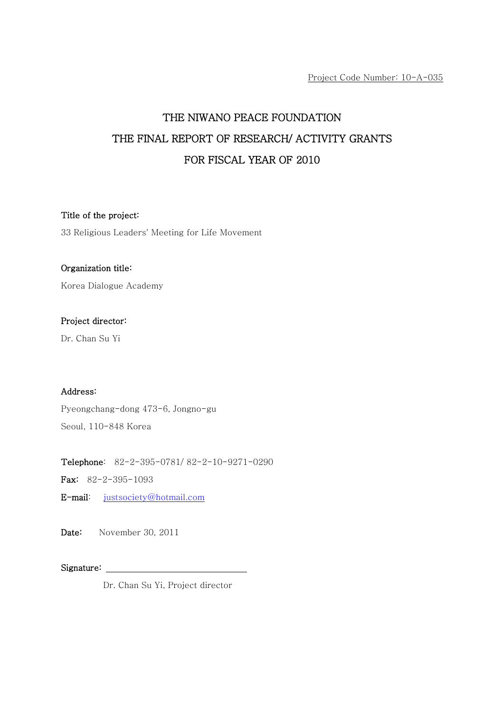Project Code Number: 10-A-035

# THE NIWANO PEACE FOUNDATION THE FINAL REPORT OF RESEARCH/ ACTIVITY GRANTS FOR FISCAL YEAR OF 2010

#### Title of the project:

33 Religious Leaders' Meeting for Life Movement

#### Organization title:

Korea Dialogue Academy

## Project director:

Dr. Chan Su Yi

#### Address:

Pyeongchang-dong 473-6, Jongno-gu

Seoul, 110-848 Korea

Telephone: 82-2-395-0781/ 82-2-10-9271-0290

Fax: 82-2-395-1093

E-mail: justsociety@hotmail.com

Date: November 30, 2011

Signature:

Dr. Chan Su Yi, Project director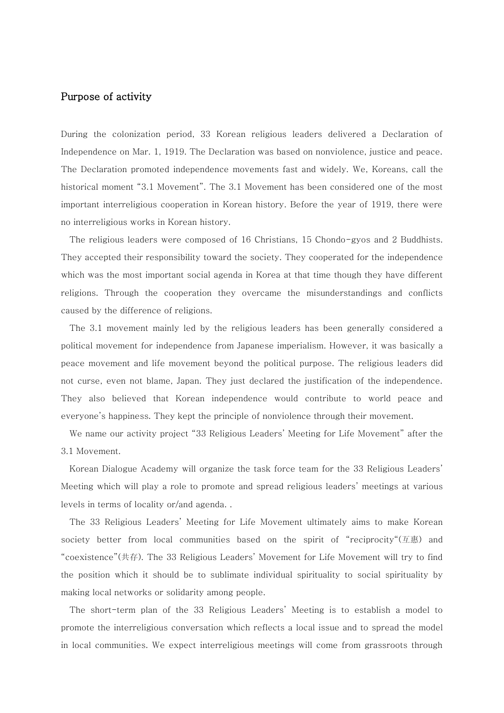### Purpose of activity

During the colonization period, 33 Korean religious leaders delivered a Declaration of Independence on Mar. 1, 1919. The Declaration was based on nonviolence, justice and peace. The Declaration promoted independence movements fast and widely. We, Koreans, call the historical moment "3.1 Movement". The 3.1 Movement has been considered one of the most important interreligious cooperation in Korean history. Before the year of 1919, there were no interreligious works in Korean history.

The religious leaders were composed of 16 Christians, 15 Chondo-gyos and 2 Buddhists. They accepted their responsibility toward the society. They cooperated for the independence which was the most important social agenda in Korea at that time though they have different religions. Through the cooperation they overcame the misunderstandings and conflicts caused by the difference of religions.

The 3.1 movement mainly led by the religious leaders has been generally considered a political movement for independence from Japanese imperialism. However, it was basically a peace movement and life movement beyond the political purpose. The religious leaders did not curse, even not blame, Japan. They just declared the justification of the independence. They also believed that Korean independence would contribute to world peace and everyone's happiness. They kept the principle of nonviolence through their movement.

We name our activity project "33 Religious Leaders' Meeting for Life Movement" after the 3.1 Movement.

Korean Dialogue Academy will organize the task force team for the 33 Religious Leaders' Meeting which will play a role to promote and spread religious leaders' meetings at various levels in terms of locality or/and agenda. .

The 33 Religious Leaders' Meeting for Life Movement ultimately aims to make Korean society better from local communities based on the spirit of "reciprocity" $(\text{I} \mathbb{R}^n)$  and "coexistence"(共存). The 33 Religious Leaders' Movement for Life Movement will try to find the position which it should be to sublimate individual spirituality to social spirituality by making local networks or solidarity among people.

The short-term plan of the 33 Religious Leaders' Meeting is to establish a model to promote the interreligious conversation which reflects a local issue and to spread the model in local communities. We expect interreligious meetings will come from grassroots through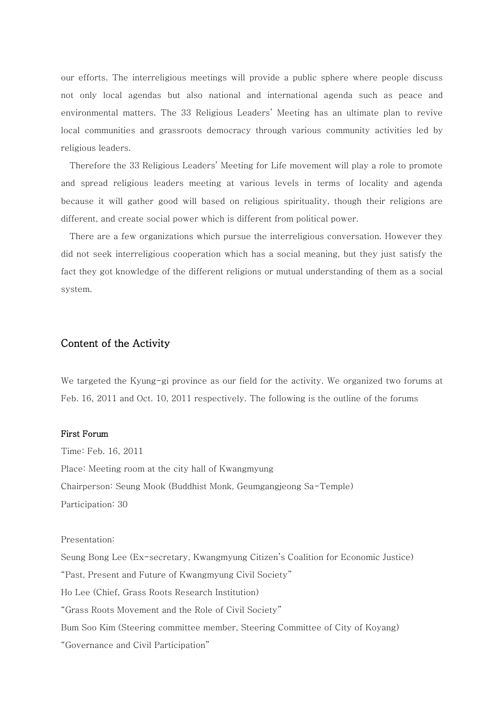our efforts. The interreligious meetings will provide a public sphere where people discuss not only local agendas but also national and international agenda such as peace and environmental matters. The 33 Religious Leaders' Meeting has an ultimate plan to revive local communities and grassroots democracy through various community activities led by religious leaders.

Therefore the 33 Religious Leaders' Meeting for Life movement will play a role to promote and spread religious leaders meeting at various levels in terms of locality and agenda because it will gather good will based on religious spirituality, though their religions are different, and create social power which is different from political power.

There are a few organizations which pursue the interreligious conversation. However they did not seek interreligious cooperation which has a social meaning, but they just satisfy the fact they got knowledge of the different religions or mutual understanding of them as a social system.

## Content of the Activity

We targeted the Kyung-gi province as our field for the activity. We organized two forums at Feb. 16, 2011 and Oct. 10, 2011 respectively. The following is the outline of the forums

#### First Forum

Time: Feb. 16, 2011 Place: Meeting room at the city hall of Kwangmyung Chairperson: Seung Mook (Buddhist Monk, Geumgangjeong Sa-Temple) Participation: 30

Presentation:

Seung Bong Lee (Ex-secretary, Kwangmyung Citizen's Coalition for Economic Justice) "Past, Present and Future of Kwangmyung Civil Society" Ho Lee (Chief, Grass Roots Research Institution) "Grass Roots Movement and the Role of Civil Society" Bum Soo Kim (Steering committee member, Steering Committee of City of Koyang) "Governance and Civil Participation"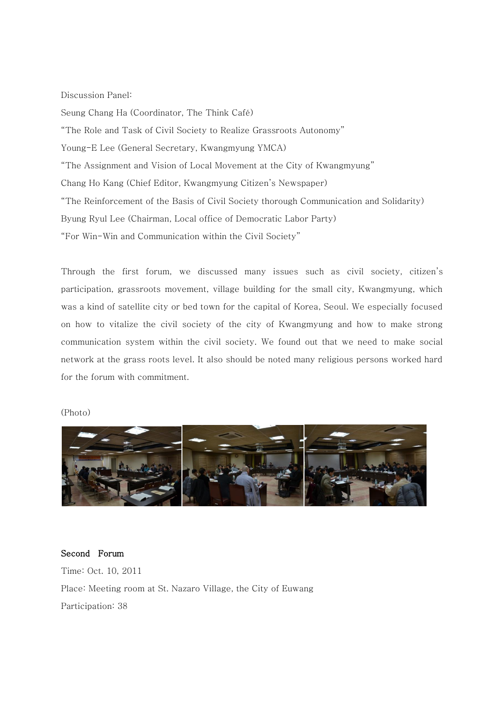#### Discussion Panel:

Seung Chang Ha (Coordinator, The Think Café) "The Role and Task of Civil Society to Realize Grassroots Autonomy" Young-E Lee (General Secretary, Kwangmyung YMCA) "The Assignment and Vision of Local Movement at the City of Kwangmyung" Chang Ho Kang (Chief Editor, Kwangmyung Citizen's Newspaper) "The Reinforcement of the Basis of Civil Society thorough Communication and Solidarity) Byung Ryul Lee (Chairman, Local office of Democratic Labor Party) "For Win-Win and Communication within the Civil Society"

Through the first forum, we discussed many issues such as civil society, citizen's participation, grassroots movement, village building for the small city, Kwangmyung, which was a kind of satellite city or bed town for the capital of Korea, Seoul. We especially focused on how to vitalize the civil society of the city of Kwangmyung and how to make strong communication system within the civil society. We found out that we need to make social network at the grass roots level. It also should be noted many religious persons worked hard for the forum with commitment.

#### (Photo)



Second Forum Time: Oct. 10, 2011 Place: Meeting room at St. Nazaro Village, the City of Euwang Participation: 38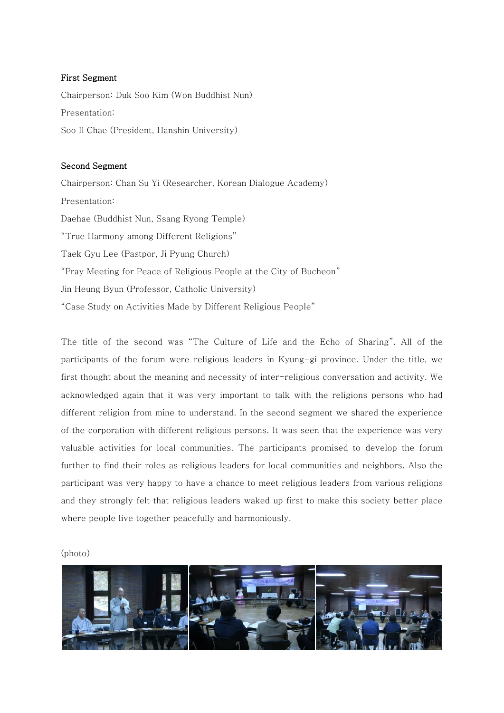#### First Segment

Chairperson: Duk Soo Kim (Won Buddhist Nun) Presentation: Soo Il Chae (President, Hanshin University)

#### Second Segment

Chairperson: Chan Su Yi (Researcher, Korean Dialogue Academy) Presentation: Daehae (Buddhist Nun, Ssang Ryong Temple) "True Harmony among Different Religions" Taek Gyu Lee (Pastpor, Ji Pyung Church) "Pray Meeting for Peace of Religious People at the City of Bucheon" Jin Heung Byun (Professor, Catholic University) "Case Study on Activities Made by Different Religious People"

The title of the second was "The Culture of Life and the Echo of Sharing". All of the participants of the forum were religious leaders in Kyung-gi province. Under the title, we first thought about the meaning and necessity of inter-religious conversation and activity. We acknowledged again that it was very important to talk with the religions persons who had different religion from mine to understand. In the second segment we shared the experience of the corporation with different religious persons. It was seen that the experience was very valuable activities for local communities. The participants promised to develop the forum further to find their roles as religious leaders for local communities and neighbors. Also the participant was very happy to have a chance to meet religious leaders from various religions and they strongly felt that religious leaders waked up first to make this society better place where people live together peacefully and harmoniously.

(photo)

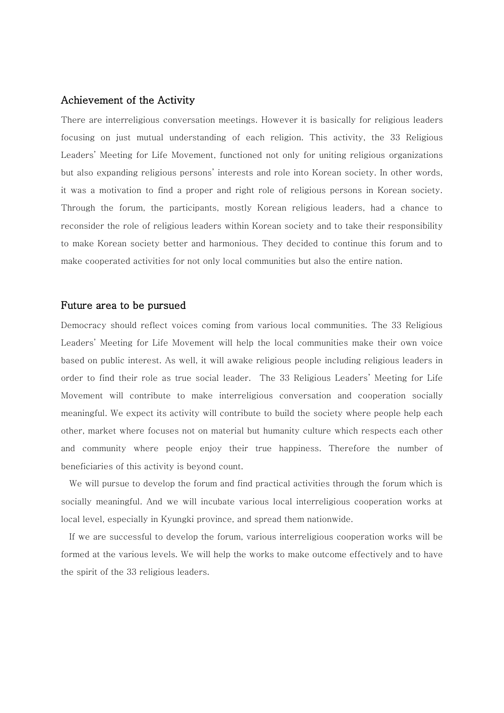#### Achievement of the Activity

There are interreligious conversation meetings. However it is basically for religious leaders focusing on just mutual understanding of each religion. This activity, the 33 Religious Leaders' Meeting for Life Movement, functioned not only for uniting religious organizations but also expanding religious persons' interests and role into Korean society. In other words, it was a motivation to find a proper and right role of religious persons in Korean society. Through the forum, the participants, mostly Korean religious leaders, had a chance to reconsider the role of religious leaders within Korean society and to take their responsibility to make Korean society better and harmonious. They decided to continue this forum and to make cooperated activities for not only local communities but also the entire nation.

#### Future area to be pursued

Democracy should reflect voices coming from various local communities. The 33 Religious Leaders' Meeting for Life Movement will help the local communities make their own voice based on public interest. As well, it will awake religious people including religious leaders in order to find their role as true social leader. The 33 Religious Leaders' Meeting for Life Movement will contribute to make interreligious conversation and cooperation socially meaningful. We expect its activity will contribute to build the society where people help each other, market where focuses not on material but humanity culture which respects each other and community where people enjoy their true happiness. Therefore the number of beneficiaries of this activity is beyond count.

We will pursue to develop the forum and find practical activities through the forum which is socially meaningful. And we will incubate various local interreligious cooperation works at local level, especially in Kyungki province, and spread them nationwide.

If we are successful to develop the forum, various interreligious cooperation works will be formed at the various levels. We will help the works to make outcome effectively and to have the spirit of the 33 religious leaders.